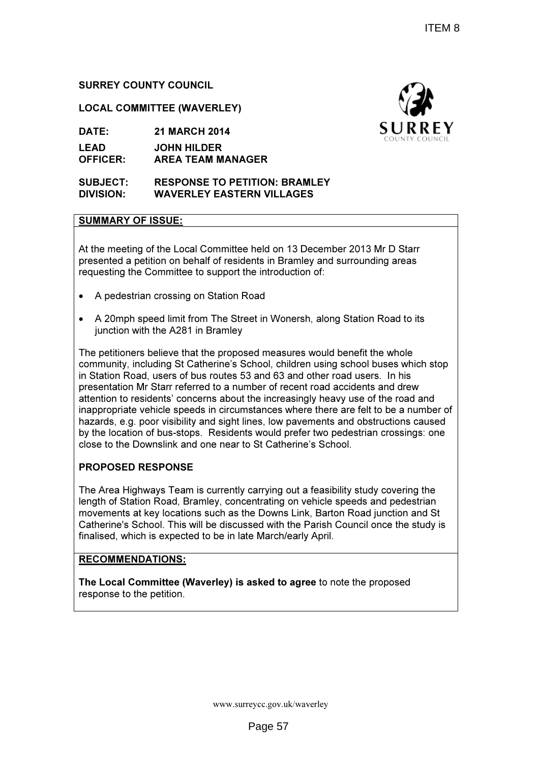# SURREY COUNTY COUNCIL

LOCAL COMMITTEE (WAVERLEY)

DATE: 21 MARCH 2014

LEAD OFFICER: JOHN HILDER AREA TEAM MANAGER

#### SUBJECT: RESPONSE TO PETITION: BRAMLEY DIVISION: WAVERLEY EASTERN VILLAGES

### SUMMARY OF ISSUE:

At the meeting of the Local Committee held on 13 December 2013 Mr D Starr presented a petition on behalf of residents in Bramley and surrounding areas requesting the Committee to support the introduction of:

- A pedestrian crossing on Station Road
- A 20mph speed limit from The Street in Wonersh, along Station Road to its junction with the A281 in Bramley

The petitioners believe that the proposed measures would benefit the whole community, including St Catherine's School, children using school buses which stop in Station Road, users of bus routes 53 and 63 and other road users. In his presentation Mr Starr referred to a number of recent road accidents and drew attention to residents' concerns about the increasingly heavy use of the road and inappropriate vehicle speeds in circumstances where there are felt to be a number of hazards, e.g. poor visibility and sight lines, low pavements and obstructions caused by the location of bus-stops. Residents would prefer two pedestrian crossings: one close to the Downslink and one near to St Catherine's School. cle speeds in circumstances where there are felt to be a number c<br>· visibility and sight lines, low pavements and obstructions caused<br>bus-stops. Residents would prefer two pedestrian crossings: one ITEM 8<br>
SURREY<br>
SURREY<br>
SURREY<br>
SURREY<br>
SURREY<br>
SURREY<br>
SURREY<br>
SURREY<br>
SURREY<br>
SURREY<br>
SURREY<br>
SURREY<br>
SURREY<br>
SURPS<br>
IS SURPS<br>
IS SURPS OF the road and reveral and drew<br>
and users. In his<br>
accidents and drew<br>
are delt to

### PROPOSED RESPONSE

The Area Highways Team is currently carrying out a feasibility study covering the length of Station Road, Bramley, concentrating on vehicle speeds and pedestrian close to the Downslink and one near to St Catherine's School.<br>
PROPOSED RESPONSE<br>
The Area Highways Team is currently carrying out a feasibility study covering the<br>
length of Station Road, Bramley, concentrating on vehicle Catherine's School. This will be discussed with the Parish Council once the study is finalised, which is expected to be in late March/early April.

## RECOMMENDATIONS:

The Local Committee (Waverley) is asked to agree to note the proposed response to the petition.



www.surreycc.gov.uk/waverley